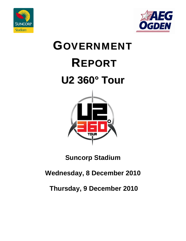



# GOVERNMENT REPORT **U2 360° Tour**



# **Suncorp Stadium**

# **Wednesday, 8 December 2010**

# **Thursday, 9 December 2010**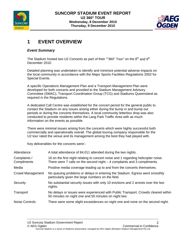



# **1 EVENT OVERVIEW**

#### *Event Summary*

The Stadium hosted two U2 Concerts as part of their ""360° Tour" on the  $8<sup>th</sup>$  and  $9<sup>th</sup>$ December 2010.

Detailed planning was undertaken to identify and minimize potential adverse impacts on the local community in accordance with the Major Sports Facilities Regulations 2002 for Special Events.

A specific Operations Management Plan and a Transport Management Plan were developed for both concerts and provided to the Stadium Management Advisory Committee (SMAC), Transport Coordination Group (TCG) and Stadiums Queensland as required in the Regulations.

A dedicated Call Centre was established for the concert period for the general public to contact the Stadium on any issues arising either during the bump in and bump out periods or during the concerts themselves. A local community letterbox drop was also conducted to provide residents within the Lang Park Traffic Area with as much information on the events as possible.

There were minimal issues arising from the concerts which were highly successful both commercially and operationally overall. The global touring company responsible for the U2 tour rated the venue and its management among the best they had played with.

Key deliverables for the concerts were:-

| Attendance                  | A total attendance of 84,011 attended during the two nights.                                                                                                     |
|-----------------------------|------------------------------------------------------------------------------------------------------------------------------------------------------------------|
| Complaints /<br>Compliments | 16 on the first night relating to concert noise and 1 regarding helicopter noise.<br>There were $7$ calls on the second night $-4$ complaints and 3 compliments. |
| Media                       | Positive media coverage leading up to and from the concerts themselves.                                                                                          |
| Crowd Management            | No queuing problems or delays in entering the Stadium. Egress went smoothly<br>particularly given the large numbers on the field.                                |
| Security                    | No substantial security issues with only 10 evictions and 2 arrests over the two<br>nights.                                                                      |
| Transport                   | No delays or issues were experienced with Public Transport. Crowds cleared within<br>50 minutes on night one and 50 minutes on night two.                        |
| <b>Noise Controls</b>       | There were some slight exceedences on night one and none on the second night.                                                                                    |

2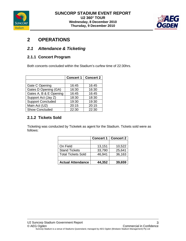



# **2 OPERATIONS**

### *2.1 Attendance & Ticketing*

#### **2.1.1 Concert Program**

Both concerts concluded within the Stadium's curfew time of 22:30hrs.

|                          | <b>Concert 1</b> | <b>Concert 2</b> |
|--------------------------|------------------|------------------|
|                          |                  |                  |
| Gate C Opening           | 16:45            | 16:45            |
| Gates D Opening (GA)     | 16:30            | 16:30            |
| Gates A, B & E Opening   | 16:45            | 16:45            |
| Support Act (Jay Z)      | 18:30            | 18:30            |
| <b>Support Concluded</b> | 19:30            | 19:30            |
| Main Act (U2)            | 20:15            | 20:15            |
| Show Concluded           | 22:30            | 22:30            |

## **2.1.2 Tickets Sold**

Ticketing was conducted by Ticketek as agent for the Stadium. Tickets sold were as follows:

|                          | <b>Concert 1</b> | <b>Concert 2</b> |
|--------------------------|------------------|------------------|
|                          |                  |                  |
| On Field                 | 13,151           | 10,522           |
| <b>Stand Tickets</b>     | 33,790           | 25,641           |
| Total Tickets Sold       | 46,941           | 36,163           |
|                          |                  |                  |
| <b>Actual Attendance</b> | 44,352           | 39,659           |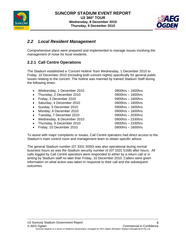



# *2.2 Local Resident Management*

Comprehensive plans were prepared and implemented to manage issues involving the management of noise for local residents.

#### **2.2.1 Call Centre Operations**

The Stadium established a 'Concert Hotline' from Wednesday, 1 December 2010 to Friday, 10 December 2010 (including both concert nights) specifically for general public issues relating to the concert. The hotline was manned by trained Stadium Staff during the following times:

- Wednesday, 1 December 2010 0900hrs 1600hrs
- Thursday, 2 December 2010 0900hrs 1600hrs
- Friday, 3 December 2010 0900hrs 1600hrs
- Saturday, 4 December 2010 0900hrs 1600hrs
- Sunday, 5 December 2010 0900hrs 1600hrs
- Monday, 6 December 2010 0900hrs 1600hrs
- Tuesday, 7 December 2010 0900hrs 2030hrs
- Wednesday, 8 December 2010 0900hrs 2330hrs
- Thursday, 9 December 2010 0900hrs 2330hrs
- Friday, 10 December 2010 0900hrs 1600hrs

To assist with major complaints or issues, Call Centre operators had direct access to the Stadium's main control room and management team to obtain specific advice.

The general Stadium number (07 3331 5000) was also operational during normal business hours as was the Stadium security number of (07 3331 5168) after hours. All calls logged by Call Centre operators were responded to either by a return call or in writing by Stadium staff no later than Friday, 10 December 2010. Callers were given information on what action was taken in response to their call and the subsequent outcomes.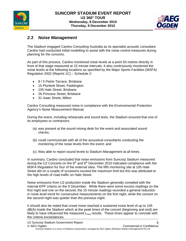



#### *2.3 Noise Management*

The Stadium engaged Cardno Consulting Australia as its specialist acoustic consultant. Cardno had conducted initial modelling to assist with the noise control measures during planning for the concerts.

As part of this process, Cardno monitored noise levels at a point 50 metres directly in front of that stage measured at 15 minute intervals. It also continuously monitored the noise levels at the following locations as specified by the Major Sports Facilities (MSFA) Regulation 2002 (Reprint 1C) – Schedule 2:

- 8 / 5 Petrie Terrace, Brisbane
- 15 Plunkett Street, Paddington
- 105 Hale Street, Brisbane
- 26 Princess Street, Brisbane
- 31 Isaac Street, Milton

Cardno Consulting measured noise in compliance with the Environmental Protection Agency's Noise Measurement Manual.

During the event, including rehearsals and sound tests, the Stadium ensured that one of its employees or contractors;

- (a) was present at the sound mixing desk for the event and associated sound checks;
- (b) could communicate with all of the acoustical consultants conducting the monitoring of the noise levels from the event; and
- (c) Was able to report sound levels to Stadium Management at all times.

In summary, Cardno concluded that noise emissions from Suncorp Stadium measured during the U2 Concerts on the  $8<sup>th</sup>$  and  $9<sup>th</sup>$  December 2010 indicated compliance with the MSFA Regulation for four of the external sites. The fifth monitoring site at 105 Hale Street did on a couple of occasions exceed the maximum limit but this was attributed to the high levels of road traffic on Hale Street.

Noise emissions from U2 production inside the Stadium generally complied with the internal EPP criteria on the 9 December. While there were some excess readings on the first night and one on the second, the 15 minute readings recorded a general reduction in noise level trend for consecutive measurements on the first night, while the concert on the second night was quieter than the previous night.

It should also be noted that crowd noise reached a sustained noise level of up to 105 dB(A) inside the Stadium which at the peak times of the concert (beginning and end) are likely to have influenced the measured  $L_{Aeq}$  results. These times appear to coincide with the criteria exceedances.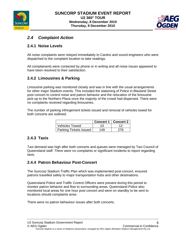



## *2.4 Complaint Action*

#### **2.4.1 Noise Levels**

All noise complaints were relayed immediately to Cardno and sound engineers who were dispatched to the complaint location to take readings.

All complainants were contacted by phone or in writing and all noise issues appeared to have been resolved to their satisfaction.

#### **2.4.2 Limousines & Parking**

Limousine parking was monitored closely and was in line with the usual arrangements for other major Stadium events. This included the stationing of Police in Blaxland Street post concert to control noise and patron behavior and the relocation of the limousine pick-up to the Northern Plaza once the majority of the crowd had dispersed. There were no complaints received regarding limousines.

The number of parking infringement tickets issued and removal of vehicles towed for both concerts are outlined;

|                        |     | Concert 1   Concert 2 |
|------------------------|-----|-----------------------|
| <b>Vehicles Towed</b>  |     |                       |
| Parking Tickets Issued | 149 | 276                   |

#### **2.4.3 Taxis**

Taxi demand was high after both concerts and queues were managed by Taxi Council of Queensland staff. There were no complaints or significant incidents to report regarding taxis.

#### **2.4.4 Patron Behaviour Post-Concert**

The Suncorp Stadium Traffic Plan which was implemented post-concert, ensured patrons travelled safely to major transportation hubs and other destinations.

Queensland Police and Traffic Control Officers were present during this period to monitor patron behavior and flow to surrounding areas. Queensland Police also monitored local areas for one hour post concert and were on standby to be sent to locations should complaints arise.

There were no patron behaviour issues after both concerts.